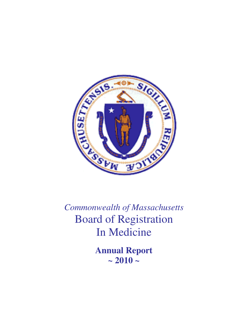

*Commonwealth of Massachusetts*  Board of Registration In Medicine

> **Annual Report**   $\sim 2010 -$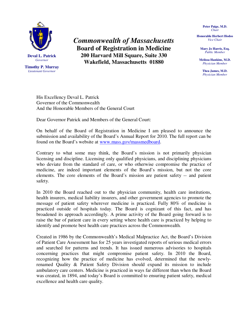

**Timothy P. Murray**  *Lieutenant Governor* 

*Commonwealth of Massachusetts*  **Board of Registration in Medicine 200 Harvard Mill Square, Suite 330 Wakefield, Massachusetts 01880** 

**Peter Paige, M.D.**  *Chair* 

**Honorable Herbert Hodos**  *Vice Chair* 

**Mary Jo Harris, Esq.**  *Public Member* 

**Melissa Hankins, M.D.**  *Physician Member* 

> **Thea James, M.D.**  *Physician Member*

His Excellency Deval L. Patrick Governor of the Commonwealth And the Honorable Members of the General Court

Dear Governor Patrick and Members of the General Court:

On behalf of the Board of Registration in Medicine I am pleased to announce the submission and availability of the Board's Annual Report for 2010. The full report can be found on the Board's website at www.mass.gov/massmedboard.

Contrary to what some may think, the Board's mission is not primarily physician licensing and discipline. Licensing only qualified physicians, and disciplining physicians who deviate from the standard of care, or who otherwise compromise the practice of medicine, are indeed important elements of the Board's mission, but not the core elements. The core elements of the Board's mission are patient safety -- and patient safety.

In 2010 the Board reached out to the physician community, health care institutions, health insurers, medical liability insurers, and other government agencies to promote the message of patient safety wherever medicine is practiced. Fully 80% of medicine is practiced outside of hospitals today. The Board is cognizant of this fact, and has broadened its approach accordingly. A prime activity of the Board going forward is to raise the bar of patient care in every setting where health care is practiced by helping to identify and promote best health care practices across the Commonwealth.

Created in 1986 by the Commonwealth's Medical Malpractice Act, the Board's Division of Patient Care Assessment has for 25 years investigated reports of serious medical errors and searched for patterns and trends. It has issued numerous advisories to hospitals concerning practices that might compromise patient safety. In 2010 the Board, recognizing how the practice of medicine has evolved, determined that the newlyrenamed Quality & Patient Safety Division should expand its mission to include ambulatory care centers. Medicine is practiced in ways far different than when the Board was created, in 1894, and today's Board is committed to ensuring patient safety, medical excellence and health care quality.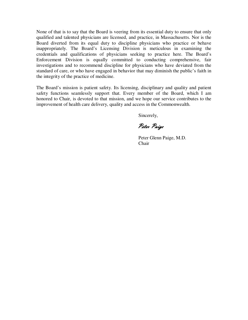None of that is to say that the Board is veering from its essential duty to ensure that only qualified and talented physicians are licensed, and practice, in Massachusetts. Nor is the Board diverted from its equal duty to discipline physicians who practice or behave inappropriately. The Board's Licensing Division is meticulous in examining the credentials and qualifications of physicians seeking to practice here. The Board's Enforcement Division is equally committed to conducting comprehensive, fair investigations and to recommend discipline for physicians who have deviated from the standard of care, or who have engaged in behavior that may diminish the public's faith in the integrity of the practice of medicine.

The Board's mission is patient safety. Its licensing, disciplinary and quality and patient safety functions seamlessly support that. Every member of the Board, which I am honored to Chair, is devoted to that mission, and we hope our service contributes to the improvement of health care delivery, quality and access in the Commonwealth.

Sincerely,

Peter Paige

 Peter Glenn Paige, M.D. **Chair**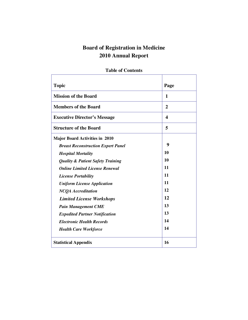# **Board of Registration in Medicine 2010 Annual Report**

| <b>Topic</b>                                 | Page |
|----------------------------------------------|------|
|                                              |      |
| <b>Mission of the Board</b>                  | 1    |
| <b>Members of the Board</b>                  | 2    |
| <b>Executive Director's Message</b>          | 4    |
| <b>Structure of the Board</b>                | 5    |
| <b>Major Board Activities in 2010</b>        |      |
| <b>Breast Reconstruction Expert Panel</b>    | 9    |
| <b>Hospital Mortality</b>                    | 10   |
| <b>Quality &amp; Patient Safety Training</b> | 10   |
| <b>Online Limited License Renewal</b>        | 11   |
| <b>License Portability</b>                   | 11   |
| <b>Uniform License Application</b>           | 11   |
| <b>NCQA</b> Accreditation                    | 12   |
| <b>Limited License Workshops</b>             | 12   |
| <b>Pain Management CME</b>                   | 13   |
| <b>Expedited Partner Notification</b>        | 13   |
| <b>Electronic Health Records</b>             | 14   |
| <b>Health Care Workforce</b>                 | 14   |
| <b>Statistical Appendix</b>                  | 16   |

# **Table of Contents**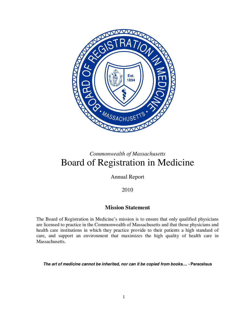

# *Commonwealth of Massachusetts*  Board of Registration in Medicine

Annual Report

2010

# **Mission Statement**

The Board of Registration in Medicine's mission is to ensure that only qualified physicians are licensed to practice in the Commonwealth of Massachusetts and that those physicians and health care institutions in which they practice provide to their patients a high standard of care, and support an environment that maximizes the high quality of health care in Massachusetts.

**The art of medicine cannot be inherited, nor can it be copied from books.... - Paracelsus**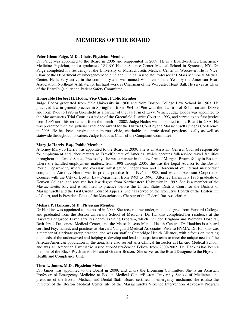# **MEMBERS OF THE BOARD**

#### **Peter Glenn Paige, M.D., Chair, Physician Member**

Dr. Paige was appointed to the Board in 2006 and reappointed in 2009. He is a Board-certified Emergency Medicine Physician, and a graduate of SUNY Health Science Center Medical School in Syracuse, NY. Dr. Paige completed his residency at the University of Massachusetts Medical Center in Worcester. He is Vice-Chair of the Department of Emergency Medicine and Clinical Associate Professor at UMass Memorial Medical Center. He is very active in the community and was named Volunteer of the Year by the American Heart Association, Northeast Affiliate, for his hard work as Chairman of the Worcester Heart Ball. He serves as Chair of the Board's Quality and Patient Safety Committee.

#### **Honorable Herbert H. Hodos, Vice Chair, Public Member**

Judge Hodos graduated from Yale University in 1960 and from Boston College Law School in 1963. He practiced law in general practice in Springfield from 1964 to 1966 with the law firm of Robinson and Dibble and from 1966 to 1993 in Greenfield as a partner of the law firm of Levy, Winer. Judge Hodos was appointed to the Massachusetts Trial Court as a judge of the Greenfield District Court in 1993, and served as its first justice from 1995 until his retirement from the bench in 2008. Judge Hodos was appointed to the Board in 2008. He was presented with the judicial excellence award for the District Court by the Massachusetts Judges Conference in 2008. He has been involved in numerous civic, charitable and professional positions locally as well as statewide throughout his career. Judge Hodos is Chair of the Complaint Committee.

#### **Mary Jo Harris, Esq., Public Member**

Attorney Mary Jo Harris was appointed to the Board in 2009. She is an Assistant General Counsel responsible for employment and labor matters at TravelCenters of America, which operates full-service travel facilities throughout the United States. Previously, she was a partner in the law firm of Morgan, Brown & Joy in Boston, where she handled employment matters; from 1998 through 2005, she was the Legal Advisor to the Boston Police Department, where she oversaw investigation, negotiation and enforcement of internal misconduct complaints. Attorney Harris was in private practice from 1996 to 1998, and was an Assistant Corporation Counsel with the City of Boston Law Department from 1993 to 1996. Attorney Harris is a 1986 graduate of Kenyon College, and received her law degree from Northeastern University in 1992. She is a member of the Massachusetts bar, and is admitted to practice before the United States District Court for the District of Massachusetts and the First Circuit Court of Appeals. She has served on the Executive Boards of the Boston Inn of Court, and is President-Elect of the Massachusetts Chapter of the Federal Bar Association.

#### **Melissa P. Hankins, M.D., Physician Member**

Dr Hankins was appointed to the board in 2009. She received her undergraduate degree from Harvard College, and graduated from the Boston University School of Medicine. Dr. Hankins completed her residency at the Harvard Longwood Psychiatry Residency Training Program, which included Brigham and Women's Hospital, Beth Israel Deaconess Medical Center, and the Massachusetts Mental Health Center. Dr. Hankins is a board certified Psychiatrist, and practices at Harvard Vanguard Medical Associates. Prior to HVMA, Dr. Hankins was a member of a private group practice, and was on staff at Cambridge Health Alliance, with a focus on meeting the needs of the underserved and helping to develop and lead an outpatient team to meet the unique needs of the African-American population in the area. She also served as a Clinical Instructor at Harvard Medical School, and was an American Psychiatric Association/AstraZeneca Fellow from 2000-2002. Dr. Hankins has been a member of the Black Psychiatrists Forum of Greater Boston. She serves as the Board Designee to the Physician Health and Compliance Unit.

#### **Thea L. James, M.D., Physician Member**

Dr. James was appointed to the Board in 2009, and chairs the Licensing Committee. She is an Assistant Professor of Emergency Medicine at Boston Medical Center/Boston University School of Medicine, and president of the Boston Medical and Dental Staff. Board certified in emergency medicine, she is also the Director of the Boston Medical Center site of the Massachusetts Violence Intervention Advocacy Program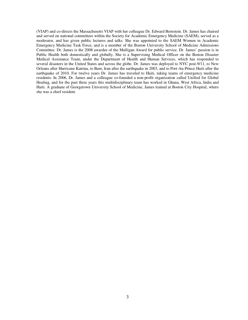(VIAP) and co-directs the Massachusetts VIAP with her colleague Dr. Edward Bernstein. Dr. James has chaired and served on national committees within the Society for Academic Emergency Medicine (SAEM), served as a moderator, and has given public lectures and talks. She was appointed to the SAEM Women in Academic Emergency Medicine Task Force, and is a member of the Boston University School of Medicine Admissions Committee. Dr. James is the 2008 awardee of the Mulligan Award for public service. Dr. James' passion is in Public Health both domestically and globally. She is a Supervising Medical Officer on the Boston Disaster Medical Assistance Team, under the Department of Health and Human Services, which has responded to several disasters in the United States and across the globe. Dr. James was deployed to NYC post-9/11, to New Orleans after Hurricane Katrina, to Bam, Iran after the earthquake in 2003, and to Port-Au-Prince Haiti after the earthquake of 2010. For twelve years Dr. James has traveled to Haiti, taking teams of emergency medicine residents. In 2006, Dr. James and a colleague co-founded a non-profit organization called Unified for Global Healing, and for the past three years this multidisciplinary team has worked in Ghana, West Africa, India and Haiti. A graduate of Georgetown University School of Medicine, James trained at Boston City Hospital, where she was a chief resident.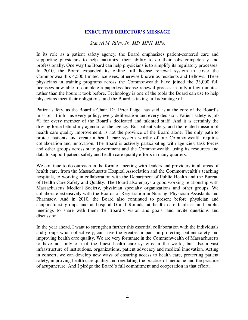# **EXECUTIVE DIRECTOR'S MESSAGE**

# *Stancel M. Riley, Jr., MD, MPH, MPA*

In its role as a patient safety agency, the Board emphasizes patient-centered care and supporting physicians to help maximize their ability to do their jobs competently and professionally. One way the Board can help physicians is to simplify its regulatory processes. In 2010, the Board expanded its online full license renewal system to cover the Commonwealth's 4,500 limited licensees, otherwise known as residents and Fellows. These physicians in training programs across the Commonwealth have joined the 33,000 full licensees now able to complete a paperless license renewal process in only a few minutes, rather than the hours it took before. Technology is one of the tools the Board can use to help physicians meet their obligations, and the Board is taking full advantage of it.

Patient safety, as the Board's Chair, Dr. Peter Paige, has said, is at the core of the Board's mission. It informs every policy, every deliberation and every decision. Patient safety is job #1 for every member of the Board's dedicated and talented staff. And it is certainly the driving force behind my agenda for the agency. But patient safety, and the related mission of health care quality improvement, is not the province of the Board alone. The only path to protect patients and create a health care system worthy of our Commonwealth requires collaboration and innovation. The Board is actively participating with agencies, task forces and other groups across state government and the Commonwealth, using its resources and data to support patient safety and health care quality efforts in many quarters.

We continue to do outreach in the form of meeting with leaders and providers in all areas of health care, from the Massachusetts Hospital Association and the Commonwealth's teaching hospitals, to working in collaboration with the Department of Public Health and the Bureau of Health Care Safety and Quality. The Board also enjoys a good working relationship with Massachusetts Medical Society, physician specialty organizations and other groups. We collaborate extensively with the Boards of Registration in Nursing, Physician Assistants and Pharmacy. And in 2010, the Board also continued to present before physician and acupuncturist groups and at hospital Grand Rounds, at health care facilities and public meetings to share with them the Board's vision and goals, and invite questions and discussion.

In the year ahead, I want to strengthen further this essential collaboration with the individuals and groups who, collectively, can have the greatest impact on protecting patient safety and improving health care quality. We are very fortunate in the Commonwealth of Massachusetts to have not only one of the finest health care systems in the world, but also a vast infrastructure of institutions, organizations, patient advocacy and medical innovation. Acting in concert, we can develop new ways of ensuring access to health care, protecting patient safety, improving health care quality and regulating the practice of medicine and the practice of acupuncture. And I pledge the Board's full commitment and cooperation in that effort.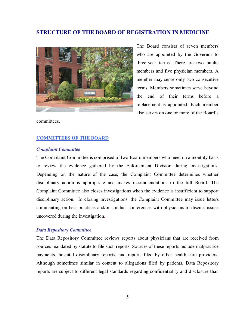# **STRUCTURE OF THE BOARD OF REGISTRATION IN MEDICINE**



The Board consists of seven members who are appointed by the Governor to three-year terms. There are two public members and five physician members. A member may serve only two consecutive terms. Members sometimes serve beyond the end of their terms before a replacement is appointed. Each member also serves on one or more of the Board's

committees.

#### **COMMITTEES OF THE BOARD**

### *Complaint Committee*

The Complaint Committee is comprised of two Board members who meet on a monthly basis to review the evidence gathered by the Enforcement Division during investigations. Depending on the nature of the case, the Complaint Committee determines whether disciplinary action is appropriate and makes recommendations to the full Board. The Complaint Committee also closes investigations when the evidence is insufficient to support disciplinary action. In closing investigations, the Complaint Committee may issue letters commenting on best practices and/or conduct conferences with physicians to discuss issues uncovered during the investigation.

#### *Data Repository Committee*

The Data Repository Committee reviews reports about physicians that are received from sources mandated by statute to file such reports. Sources of these reports include malpractice payments, hospital disciplinary reports, and reports filed by other health care providers. Although sometimes similar in content to allegations filed by patients, Data Repository reports are subject to different legal standards regarding confidentiality and disclosure than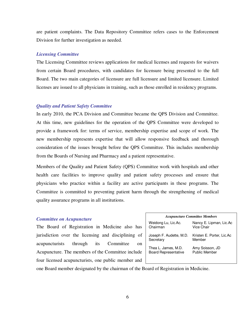are patient complaints. The Data Repository Committee refers cases to the Enforcement Division for further investigation as needed.

# *Licensing Committee*

The Licensing Committee reviews applications for medical licenses and requests for waivers from certain Board procedures, with candidates for licensure being presented to the full Board. The two main categories of licensure are full licensure and limited licensure. Limited licenses are issued to all physicians in training, such as those enrolled in residency programs.

#### *Quality and Patient Safety Committee*

In early 2010, the PCA Division and Committee became the QPS Division and Committee. At this time, new guidelines for the operation of the QPS Committee were developed to provide a framework for: terms of service, membership expertise and scope of work. The new membership represents expertise that will allow responsive feedback and thorough consideration of the issues brought before the QPS Committee. This includes membership from the Boards of Nursing and Pharmacy and a patient representative.

Members of the Quality and Patient Safety (QPS) Committee work with hospitals and other health care facilities to improve quality and patient safety processes and ensure that physicians who practice within a facility are active participants in these programs. The Committee is committed to preventing patient harm through the strengthening of medical quality assurance programs in all institutions.

#### *Committee on Acupuncture*

The Board of Registration in Medicine also has jurisdiction over the licensing and disciplining of acupuncturists through its Committee on Acupuncture. The members of the Committee include four licensed acupuncturists, one public member and

| <b>Acupuncture Committee Members</b> |                           |  |  |  |  |  |
|--------------------------------------|---------------------------|--|--|--|--|--|
| Weidong Lu, Lic.Ac.                  | Nancy E. Lipman, Lic.Ac   |  |  |  |  |  |
| Chairman                             | Vice Chair                |  |  |  |  |  |
| Joseph F. Audette, M.D.              | Kristen E. Porter, Lic.Ac |  |  |  |  |  |
| Secretary                            | Member                    |  |  |  |  |  |
| Thea L. James, M.D.                  | Amy Soisson, JD           |  |  |  |  |  |
| <b>Board Representative</b>          | Public Member             |  |  |  |  |  |

one Board member designated by the chairman of the Board of Registration in Medicine.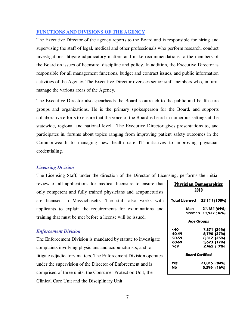# **FUNCTIONS AND DIVISIONS OF THE AGENCY**

The Executive Director of the agency reports to the Board and is responsible for hiring and supervising the staff of legal, medical and other professionals who perform research, conduct investigations, litigate adjudicatory matters and make recommendations to the members of the Board on issues of licensure, discipline and policy. In addition, the Executive Director is responsible for all management functions, budget and contract issues, and public information activities of the Agency. The Executive Director oversees senior staff members who, in turn, manage the various areas of the Agency.

The Executive Director also spearheads the Board's outreach to the public and health care groups and organizations. He is the primary spokesperson for the Board, and supports collaborative efforts to ensure that the voice of the Board is heard in numerous settings at the statewide, regional and national level. The Executive Director gives presentations to, and participates in, forums about topics ranging from improving patient safety outcomes in the Commonwealth to managing new health care IT initiatives to improving physician credentialing.

# *Licensing Division*

The Licensing Staff, under the direction of the Director of Licensing, performs the initial

review of all applications for medical licensure to ensure that only competent and fully trained physicians and acupuncturists are licensed in Massachusetts. The staff also works with applicants to explain the requirements for examinations and training that must be met before a license will be issued.

# *Enforcement Division*

The Enforcement Division is mandated by statute to investigate complaints involving physicians and acupuncturists, and to litigate adjudicatory matters. The Enforcement Division operates under the supervision of the Director of Enforcement and is comprised of three units: the Consumer Protection Unit, the Clinical Care Unit and the Disciplinary Unit.

| <b>Physician Demographics</b><br>2010 |                                                                         |  |  |  |  |  |
|---------------------------------------|-------------------------------------------------------------------------|--|--|--|--|--|
| Total Licensed                        | 33,111 (100%)                                                           |  |  |  |  |  |
|                                       | Men <b>21,184 (64%)</b><br>Women 11,927 (36%)                           |  |  |  |  |  |
|                                       | <b>Age Groups</b>                                                       |  |  |  |  |  |
| <40<br>40-49<br>50-59<br>60-69<br>569 | 7,871 (24%)<br>8,790 (27%)<br>8,312 (25%)<br>5,673 (17%)<br>2.465 / 7%) |  |  |  |  |  |
| <b>Board Certified</b>                |                                                                         |  |  |  |  |  |
| Yes<br>No                             | 27,815 (84%)<br>5,296 (16%)                                             |  |  |  |  |  |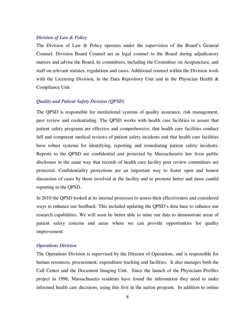# *Division of Law & Policy*

The Division of Law & Policy operates under the supervision of the Board's General Counsel. Division Board Counsel act as legal counsel to the Board during adjudicatory matters and advise the Board, its committees, including the Committee on Acupuncture, and staff on relevant statutes, regulations and cases. Additional counsel within the Division work with the Licensing Division, in the Data Repository Unit and in the Physician Health  $\&$ Compliance Unit.

#### *Quality and Patient Safety Division (QPSD)*

The QPSD is responsible for institutional systems of quality assurance, risk management, peer review and credentialing. The QPSD works with health care facilities to assure that patient safety programs are effective and comprehensive, that health care facilities conduct full and competent medical reviews of patient safety incidents and that health care facilities have robust systems for identifying, reporting and remediating patient safety incidents. Reports to the QPSD are confidential and protected by Massachusetts law from public disclosure in the same way that records of health care facility peer review committees are protected. Confidentiality protections are an important way to foster open and honest discussion of cases by those involved at the facility and to promote better and more candid reporting to the QPSD.

In 2010 the QPSD looked at its internal processes to assess their effectiveness and considered ways to enhance our feedback. This included updating the QPSD's data base to enhance our research capabilities. We will soon be better able to mine our data to demonstrate areas of patient safety concern and areas where we can provide opportunities for quality improvement.

#### *Operations Division*

The Operations Division is supervised by the Director of Operations, and is responsible for human resources, procurement, expenditure tracking and facilities. It also manages both the Call Center and the Document Imaging Unit. Since the launch of the Physicians Profiles project in 1996, Massachusetts residents have found the information they need to make informed health care decisions, using this first in the nation program. In addition to online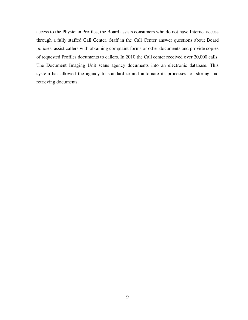access to the Physician Profiles, the Board assists consumers who do not have Internet access through a fully staffed Call Center. Staff in the Call Center answer questions about Board policies, assist callers with obtaining complaint forms or other documents and provide copies of requested Profiles documents to callers. In 2010 the Call center received over 20,000 calls. The Document Imaging Unit scans agency documents into an electronic database. This system has allowed the agency to standardize and automate its processes for storing and retrieving documents.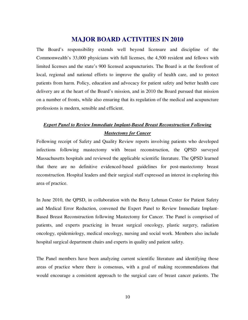# **MAJOR BOARD ACTIVITIES IN 2010**

The Board's responsibility extends well beyond licensure and discipline of the Commonwealth's 33,000 physicians with full licenses, the 4,500 resident and fellows with limited licenses and the state's 900 licensed acupuncturists. The Board is at the forefront of local, regional and national efforts to improve the quality of health care, and to protect patients from harm. Policy, education and advocacy for patient safety and better health care delivery are at the heart of the Board's mission, and in 2010 the Board pursued that mission on a number of fronts, while also ensuring that its regulation of the medical and acupuncture professions is modern, sensible and efficient.

# *Expert Panel to Review Immediate Implant-Based Breast Reconstruction Following Mastectomy for Cancer*

Following receipt of Safety and Quality Review reports involving patients who developed infections following mastectomy with breast reconstruction, the QPSD surveyed Massachusetts hospitals and reviewed the applicable scientific literature. The QPSD learned that there are no definitive evidenced-based guidelines for post-mastectomy breast reconstruction. Hospital leaders and their surgical staff expressed an interest in exploring this area of practice.

In June 2010, the QPSD, in collaboration with the Betsy Lehman Center for Patient Safety and Medical Error Reduction, convened the Expert Panel to Review Immediate Implant-Based Breast Reconstruction following Mastectomy for Cancer. The Panel is comprised of patients, and experts practicing in breast surgical oncology, plastic surgery, radiation oncology, epidemiology, medical oncology, nursing and social work. Members also include hospital surgical department chairs and experts in quality and patient safety.

The Panel members have been analyzing current scientific literature and identifying those areas of practice where there is consensus, with a goal of making recommendations that would encourage a consistent approach to the surgical care of breast cancer patients. The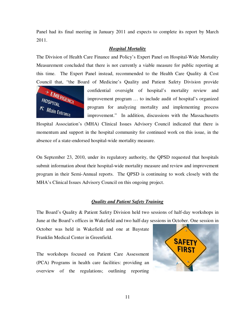Panel had its final meeting in January 2011 and expects to complete its report by March 2011.

# *Hospital Mortality*

The Division of Health Care Finance and Policy's Expert Panel on Hospital-Wide Mortality Measurement concluded that there is not currently a viable measure for public reporting at this time. The Expert Panel instead, recommended to the Health Care Ouality  $\&$  Cost Council that, "the Board of Medicine's Quality and Patient Safety Division provide



confidential oversight of hospital's mortality review and improvement program … to include audit of hospital's organized program for analyzing mortality and implementing process improvement." In addition, discussions with the Massachusetts

Hospital Association's (MHA) Clinical Issues Advisory Council indicated that there is momentum and support in the hospital community for continued work on this issue, in the absence of a state-endorsed hospital-wide mortality measure.

On September 23, 2010, under its regulatory authority, the QPSD requested that hospitals submit information about their hospital-wide mortality measure and review and improvement program in their Semi-Annual reports. The QPSD is continuing to work closely with the MHA's Clinical Issues Advisory Council on this ongoing project.

#### *Quality and Patient Safety Training*

The Board's Quality & Patient Safety Division held two sessions of half-day workshops in June at the Board's offices in Wakefield and two half-day sessions in October. One session in

October was held in Wakefield and one at Baystate Franklin Medical Center in Greenfield.

The workshops focused on Patient Care Assessment (PCA) Programs in health care facilities: providing an overview of the regulations; outlining reporting

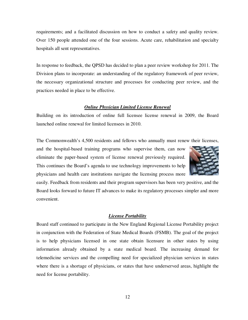requirements; and a facilitated discussion on how to conduct a safety and quality review. Over 150 people attended one of the four sessions. Acute care, rehabilitation and specialty hospitals all sent representatives.

In response to feedback, the QPSD has decided to plan a peer review workshop for 2011. The Division plans to incorporate: an understanding of the regulatory framework of peer review, the necessary organizational structure and processes for conducting peer review, and the practices needed in place to be effective.

# *Online Physician Limited License Renewal*

Building on its introduction of online full licensee license renewal in 2009, the Board launched online renewal for limited licensees in 2010.

The Commonwealth's 4,500 residents and fellows who annually must renew their licenses,

and the hospital-based training programs who supervise them, can now eliminate the paper-based system of license renewal previously required. This continues the Board's agenda to use technology improvements to help physicians and health care institutions navigate the licensing process more



easily. Feedback from residents and their program supervisors has been very positive, and the Board looks forward to future IT advances to make its regulatory processes simpler and more convenient.

#### *License Portability*

Board staff continued to participate in the New England Regional License Portability project in conjunction with the Federation of State Medical Boards (FSMB). The goal of the project is to help physicians licensed in one state obtain licensure in other states by using information already obtained by a state medical board. The increasing demand for telemedicine services and the compelling need for specialized physician services in states where there is a shortage of physicians, or states that have underserved areas, highlight the need for license portability.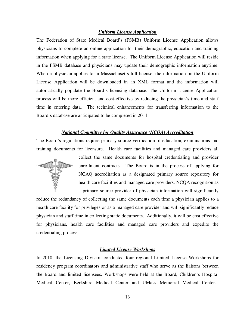# *Uniform License Application*

The Federation of State Medical Board's (FSMB) Uniform License Application allows physicians to complete an online application for their demographic, education and training information when applying for a state license. The Uniform License Application will reside in the FSMB database and physicians may update their demographic information anytime. When a physician applies for a Massachusetts full license, the information on the Uniform License Application will be downloaded in an XML format and the information will automatically populate the Board's licensing database. The Uniform License Application process will be more efficient and cost-effective by reducing the physician's time and staff time in entering data. The technical enhancements for transferring information to the Board's database are anticipated to be completed in 2011.

#### *National Committee for Quality Assurance (NCQA) Accreditation*

The Board's regulations require primary source verification of education, examinations and training documents for licensure. Health care facilities and managed care providers all



collect the same documents for hospital credentialing and provider enrollment contracts. The Board is in the process of applying for NCAQ accreditation as a designated primary source repository for health care facilities and managed care providers. NCQA recognition as a primary source provider of physician information will significantly

reduce the redundancy of collecting the same documents each time a physician applies to a health care facility for privileges or as a managed care provider and will significantly reduce physician and staff time in collecting static documents. Additionally, it will be cost effective for physicians, health care facilities and managed care providers and expedite the credentialing process.

# *Limited License Workshops*

In 2010, the Licensing Division conducted four regional Limited License Workshops for residency program coordinators and administrative staff who serve as the liaisons between the Board and limited licensees. Workshops were held at the Board, Children's Hospital Medical Center, Berkshire Medical Center and UMass Memorial Medical Center...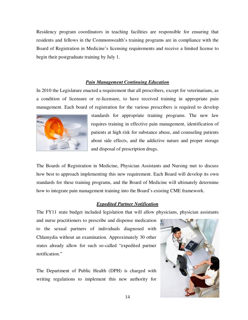Residency program coordinators in teaching facilities are responsible for ensuring that residents and fellows in the Commonwealth's training programs are in compliance with the Board of Registration in Medicine's licensing requirements and receive a limited license to begin their postgraduate training by July 1.

# *Pain Management Continuing Education*

In 2010 the Legislature enacted a requirement that all prescribers, except for veterinarians, as a condition of licensure or re-licensure, to have received training in appropriate pain management. Each board of registration for the various prescribers is required to develop



standards for appropriate training programs. The new law requires training in effective pain management, identification of patients at high risk for substance abuse, and counseling patients about side effects, and the addictive nature and proper storage and disposal of prescription drugs.

The Boards of Registration in Medicine, Physician Assistants and Nursing met to discuss how best to approach implementing this new requirement. Each Board will develop its own standards for these training programs, and the Board of Medicine will ultimately determine how to integrate pain management training into the Board's existing CME framework.

#### *Expedited Partner Notification*

The FY11 state budget included legislation that will allow physicians, physician assistants

and nurse practitioners to prescribe and dispense medication to the sexual partners of individuals diagnosed with Chlamydia without an examination. Approximately 30 other states already allow for such so-called "expedited partner notification."

The Department of Public Health (DPH) is charged with writing regulations to implement this new authority for

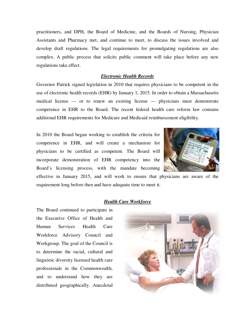practitioners, and DPH, the Board of Medicine, and the Boards of Nursing, Physician Assistants and Pharmacy met, and continue to meet, to discuss the issues involved and develop draft regulations. The legal requirements for promulgating regulations are also complex. A public process that solicits public comment will take place before any new regulations take effect.

# *Electronic Health Records*

Governor Patrick signed legislation in 2010 that requires physicians to be competent in the use of electronic health records (EHR) by January 1, 2015. In order to obtain a Massachusetts medical license — or to renew an existing license — physicians must demonstrate competence in EHR to the Board. The recent federal health care reform law contains additional EHR requirements for Medicare and Medicaid reimbursement eligibility.

In 2010 the Board began working to establish the criteria for competence in EHR, and will create a mechanism for physicians to be certified as competent. The Board will incorporate demonstration of EHR competency into the Board's licensing process, with the mandate becoming



effective in January 2015, and will work to ensure that physicians are aware of the requirement long before then and have adequate time to meet it.

# *Health Care Workforce*

The Board continued to participate in the Executive Office of Health and Human Services Health Care Workforce Advisory Council and Workgroup. The goal of the Council is to determine the racial, cultural and linguistic diversity licensed health care professionals in the Commonwealth, and to understand how they are distributed geographically. Anecdotal

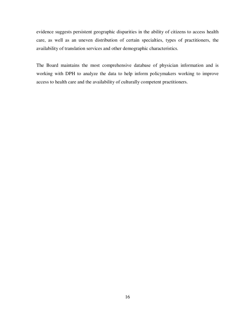evidence suggests persistent geographic disparities in the ability of citizens to access health care, as well as an uneven distribution of certain specialties, types of practitioners, the availability of translation services and other demographic characteristics.

The Board maintains the most comprehensive database of physician information and is working with DPH to analyze the data to help inform policymakers working to improve access to health care and the availability of culturally competent practitioners.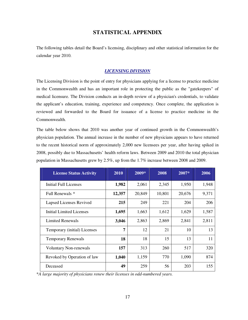# **STATISTICAL APPENDIX**

The following tables detail the Board's licensing, disciplinary and other statistical information for the calendar year 2010.

# *LICENSING DIVISION*

The Licensing Division is the point of entry for physicians applying for a license to practice medicine in the Commonwealth and has an important role in protecting the public as the "gatekeepers" of medical licensure. The Division conducts an in-depth review of a physician's credentials, to validate the applicant's education, training, experience and competency. Once complete, the application is reviewed and forwarded to the Board for issuance of a license to practice medicine in the Commonwealth.

The table below shows that 2010 was another year of continued growth in the Commonwealth's physician population. The annual increase in the number of new physicians appears to have returned to the recent historical norm of approximately 2,000 new licensees per year, after having spiked in 2008, possibly due to Massachusetts' health reform laws. Between 2009 and 2010 the total physician population in Massachusetts grew by 2.5%, up from the 1.7% increase between 2008 and 2009.

| <b>License Status Activity</b> | 2010   | 2009*  | 2008   | $2007*$ | 2006  |
|--------------------------------|--------|--------|--------|---------|-------|
| Initial Full Licenses          | 1,982  | 2,061  | 2,345  | 1,950   | 1,948 |
| Full Renewals *                | 12,357 | 20,849 | 10,801 | 20,676  | 9,371 |
| Lapsed Licenses Revived        | 215    | 249    | 221    | 204     | 206   |
| Initial Limited Licenses       | 1,695  | 1,663  | 1,612  | 1,629   | 1,587 |
| <b>Limited Renewals</b>        | 3,046  | 2,863  | 2,869  | 2,841   | 2,811 |
| Temporary (initial) Licenses   | 7      | 12     | 21     | 10      | 13    |
| <b>Temporary Renewals</b>      | 18     | 18     | 15     | 13      | 11    |
| <b>Voluntary Non-renewals</b>  | 157    | 313    | 260    | 517     | 320   |
| Revoked by Operation of law    | 1,040  | 1,159  | 770    | 1,090   | 874   |
| Deceased                       | 49     | 259    | 56     | 203     | 155   |

\**A large majority of physicians renew their licenses in odd-numbered years.*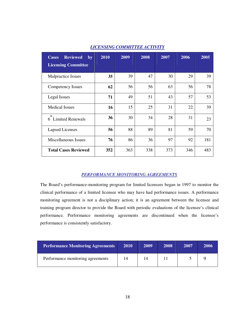| <b>Reviewed</b><br><b>Cases</b><br>by<br><b>Licensing Committee</b> | 2010 | 2009 | 2008 | 2007 | 2006 | 2005 |
|---------------------------------------------------------------------|------|------|------|------|------|------|
| Malpractice Issues                                                  | 35   | 39   | 47   | 30   | 29   | 39   |
| Competency Issues                                                   | 62   | 56   | 56   | 63   | 56   | 78   |
| Legal Issues                                                        | 71   | 49   | 51   | 43   | 57   | 53   |
| <b>Medical Issues</b>                                               | 16   | 15   | 25   | 31   | 22   | 39   |
| th<br><b>Limited Renewals</b><br>6                                  | 36   | 30   | 34   | 28   | 31   | 23   |
| Lapsed Licenses                                                     | 56   | 88   | 89   | 81   | 59   | 70   |
| Miscellaneous Issues                                                | 76   | 86   | 36   | 97   | 92   | 181  |
| <b>Total Cases Reviewed</b>                                         | 352  | 363  | 338  | 373  | 346  | 483  |

# *LICENSING COMMITTEE ACTIVITY*

# *PERFORMANCE MONITORING AGREEMENTS*

The Board's performance-monitoring program for limited licensees began in 1997 to monitor the clinical performance of a limited licensee who may have had performance issues. A performance monitoring agreement is not a disciplinary action; it is an agreement between the licensee and training program director to provide the Board with periodic evaluations of the licensee's clinical performance. Performance monitoring agreements are discontinued when the licensee's performance is consistently satisfactory.

| <b>Performance Monitoring Agreements</b> | <b>2010</b> | 2009 | 2008 | 2007 | 2006 |
|------------------------------------------|-------------|------|------|------|------|
| Performance monitoring agreements        | 14          |      |      |      |      |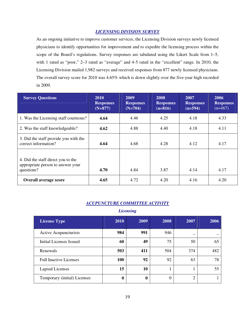# *LICENSING DIVISION SURVEY*

As an ongoing initiative to improve customer services, the Licensing Division surveys newly licensed physicians to identify opportunities for improvement and to expedite the licensing process within the scope of the Board's regulations. Survey responses are tabulated using the Likert Scale from 1–5, with 1 rated as "poor," 2–3 rated as "average" and 4-5 rated in the "excellent" range. In 2010, the Licensing Division mailed 1,982 surveys and received responses from 877 newly licensed physicians. The overall survey score for 2010 was 4.65% which is down slightly over the five-year high recorded in 2009.

| <b>Survey Questions</b>                                                               | 2010<br><b>Responses</b><br>$(N+877)$ | 2009<br><b>Responses</b><br>$(N=704)$ | 2008<br><b>Responses</b><br>$(n=816)$ | 2007<br><b>Responses</b><br>$(n=594)$ | 2006<br><b>Responses</b><br>$(n=467)$ |
|---------------------------------------------------------------------------------------|---------------------------------------|---------------------------------------|---------------------------------------|---------------------------------------|---------------------------------------|
| 1. Was the Licensing staff courteous?                                                 | 4.64                                  | 4.46                                  | 4.25                                  | 4.18                                  | 4.33                                  |
| 2. Was the staff knowledgeable?                                                       | 4.62                                  | 4.88                                  | 4.40                                  | 4.18                                  | 4.11                                  |
| 3. Did the staff provide you with the<br>correct information?                         | 4.64                                  | 4.68                                  | 4.28                                  | 4.12                                  | 4.17                                  |
| 4. Did the staff direct you to the<br>appropriate person to answer your<br>questions? | 4.70                                  | 4.84                                  | 3.87                                  | 4.14                                  | 4.17                                  |
| <b>Overall average score</b>                                                          | 4.65                                  | 4.72                                  | 4.20                                  | 4.16                                  | 4.20                                  |

# *ACUPUNCTURE COMMITTEE ACTIVITY*

# *Licensing*

| <b>License Type</b>            | 2010 | 2009        | 2008 | 2007           | 2006 |
|--------------------------------|------|-------------|------|----------------|------|
| Active Acupuncturists          | 984  | 991         | 946  | _              |      |
| <b>Initial Licenses Issued</b> | 60   | 49          | 75   | 50             | 65   |
| Renewals                       | 503  | 411         | 504  | 374            | 482  |
| <b>Full Inactive Licenses</b>  | 100  | 92          | 92   | 63             | 78   |
| <b>Lapsed Licenses</b>         | 15   | 10          |      |                | 55   |
| Temporary (initial) Licenses   | 0    | $\mathbf 0$ | 0    | $\overline{2}$ |      |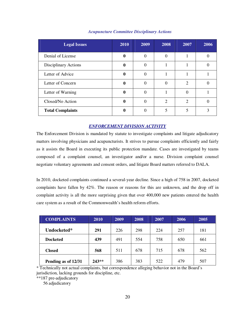| <b>Legal Issues</b>     | 2010 | 2009     | 2008     | 2007           | 2006 |
|-------------------------|------|----------|----------|----------------|------|
| Denial of License       | 0    | $\Omega$ | $\Omega$ |                |      |
| Disciplinary Actions    | 0    | $\Omega$ |          |                |      |
| Letter of Advice        | 0    | $\Omega$ |          |                |      |
| Letter of Concern       | 0    | $\Omega$ | $\Omega$ | $\overline{2}$ |      |
| Letter of Warning       | 0    | $\Omega$ |          | $\theta$       |      |
| Closed/No Action        | 0    | $\Omega$ | 2        | $\overline{2}$ |      |
| <b>Total Complaints</b> |      |          |          | 5              |      |

#### *Acupuncture Committee Disciplinary Actions*

# *ENFORCEMENT DIVISION ACTIVITY*

The Enforcement Division is mandated by statute to investigate complaints and litigate adjudicatory matters involving physicians and acupuncturists. It strives to pursue complaints efficiently and fairly as it assists the Board in executing its public protection mandate. Cases are investigated by teams composed of a complaint counsel, an investigator and/or a nurse. Division complaint counsel negotiate voluntary agreements and consent orders, and litigate Board matters referred to DALA.

In 2010, docketed complaints continued a several-year decline. Since a high of 758 in 2007, docketed complaints have fallen by 42%. The reason or reasons for this are unknown, and the drop off in complaint activity is all the more surprising given that over 400,000 new patients entered the health care system as a result of the Commonwealth's health reform efforts.

| <b>COMPLAINTS</b>   | 2010    | 2009 | 2008 | 2007 | 2006 | 2005 |
|---------------------|---------|------|------|------|------|------|
| Undocketed*         | 291     | 226  | 298  | 224  | 257  | 181  |
| <b>Docketed</b>     | 439     | 491  | 554  | 758  | 650  | 661  |
| <b>Closed</b>       | 568     | 511  | 678  | 715  | 678  | 562  |
| Pending as of 12/31 | $243**$ | 386  | 383  | 522  | 479  | 507  |

\* Technically not actual complaints, but correspondence alleging behavior not in the Board's jurisdiction, lacking grounds for discipline, etc.

\*\*187 pre-adjudicatory

56 adjudicatory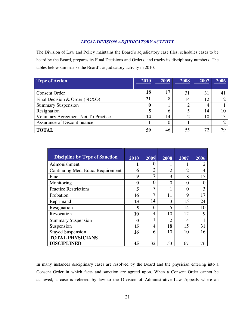# *LEGAL DIVISION ADJUDICATORY ACTIVITY*

The Division of Law and Policy maintains the Board's adjudicatory case files, schedules cases to be heard by the Board, prepares its Final Decisions and Orders, and tracks its disciplinary numbers. The tables below summarize the Board's adjudicatory activity in 2010.

| <b>Type of Action</b>               | 2010 | 2009 | 2008 | 2007 | 2006 |
|-------------------------------------|------|------|------|------|------|
|                                     |      |      |      |      |      |
| <b>Consent Order</b>                | 18   | 17   | 31   | 31   |      |
| Final Decision & Order (FD&O)       | 21   | 8    | 14   | 12   | 12   |
| <b>Summary Suspension</b>           | U    |      |      |      |      |
| Resignation                         | 5    | 6    |      | 14   | 10   |
| Voluntary Agreement Not To Practice | 14   | 14   |      | 10   |      |
| Assurance of Discontinuance         |      | 0    |      |      |      |
| <b>TOTAL</b>                        | 59   | 46   | 55   | 72   |      |

| <b>Discipline by Type of Sanction</b> | 2010     | 2009           | 2008           | 2007                        | 2006 |
|---------------------------------------|----------|----------------|----------------|-----------------------------|------|
| Admonishment                          | 1        | $\Omega$       |                |                             | 2    |
|                                       |          |                |                |                             |      |
| Continuing Med. Educ. Requirement     | 6        | $\overline{2}$ | $\overline{2}$ | $\mathcal{D}_{\mathcal{L}}$ | 4    |
| Fine                                  | 9        | 7              | 3              | 8                           | 15   |
| Monitoring                            | $\bf{0}$ | $\theta$       | $\theta$       | 0                           | 0    |
| <b>Practice Restrictions</b>          | 5        | 3              | 1              | $\Omega$                    | 3    |
| Probation                             | 16       | 7              | 11             | 9                           | 17   |
| Reprimand                             | 13       | 14             | 3              | 15                          | 24   |
| Resignation                           | 5        | 6              | 5              | 14                          | 10   |
| Revocation                            | 10       | 4              | 10             | 12                          | 9    |
| <b>Summary Suspension</b>             | $\bf{0}$ |                | $\overline{2}$ | 4                           |      |
| Suspension                            | 15       | 4              | 18             | 15                          | 31   |
| <b>Stayed Suspension</b>              | 16       | 6              | 10             | 10                          | 16   |
| <b>TOTAL PHYSICIANS</b>               |          |                |                |                             |      |
| <b>DISCIPLINED</b>                    | 45       | 32             | 53             | 67                          | 76   |

In many instances disciplinary cases are resolved by the Board and the physician entering into a Consent Order in which facts and sanction are agreed upon. When a Consent Order cannot be achieved, a case is referred by law to the Division of Administrative Law Appeals where an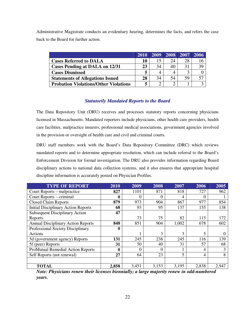Administrative Magistrate conducts an evidentiary hearing, determines the facts, and refers the case back to the Board for further action.

|                                              | 2010 | 2009 |    | 2008 2007 | 2006 |
|----------------------------------------------|------|------|----|-----------|------|
| <b>Cases Referred to DALA</b>                | 10   |      | 24 | 28        |      |
| <b>Cases Pending at DALA on 12/31</b>        | 23   | 34   | 40 | 31        | 39   |
| <b>Cases Dismissed</b>                       |      |      |    |           |      |
| <b>Statements of Allegations Issued</b>      | 28   | 34   | 54 | 59        |      |
| <b>Probation Violations/Other Violations</b> | 5    |      |    |           |      |

# *Statutorily Mandated Reports to the Board*

The Data Repository Unit (DRU) receives and processes statutory reports concerning physicians licensed in Massachusetts. Mandated reporters include physicians, other health care providers, health care facilities, malpractice insurers, professional medical associations, government agencies involved in the provision or oversight of health care and civil and criminal courts.

DRU staff members work with the Board's Data Repository Committee (DRC) which reviews mandated reports and to determine appropriate resolution, which can include referral to the Board's Enforcement Division for formal investigation. The DRU also provides information regarding Board disciplinary actions to national data collection systems, and it also ensures that appropriate hospital discipline information is accurately posted on Physician Profiles.

| <b>TYPE OF REPORT</b>                      | 2010         | 2009     | 2008           | 2007  | 2006           | 2005  |
|--------------------------------------------|--------------|----------|----------------|-------|----------------|-------|
| Court Reports – malpractice                | 827          | 1101     | 871            | 818   | 727            | 962   |
| Court Reports – criminal                   | 0            | 0        | 0              | 4     | 0              |       |
| <b>Closed Claim Reports</b>                | 879          | 973      | 904            | 867   | 977            | 854   |
| <b>Initial Disciplinary Action Reports</b> | 68           | 93       | 95             | 137   | 155            | 138   |
| <b>Subsequent Disciplinary Action</b>      | 47           |          |                |       |                |       |
| Reports                                    |              | 73       | 75             | 82    | 115            | 172   |
| <b>Annual Disciplinary Action Reports</b>  | 848          | 851      | 904            | 1,002 | 678            | 602   |
| Professional Society Disciplinary          | 0            |          |                |       |                |       |
| Actions                                    |              |          | $\overline{3}$ | 3     | 5              | 0     |
| 5d (government agency) Reports             | 131          | 245      | 238            | 245   | 116            | 139   |
| 5f (peer) Reports                          | 31           | 50       | 40             | 31    | 57             | 68    |
| <b>ProMutual Remedial Action Reports</b>   | $\mathbf{0}$ | $\Omega$ | $\overline{0}$ |       | $\overline{4}$ | 3     |
| Self Reports (not renewal)                 | 27           | 64       | 23             | 5     | $\overline{4}$ | 8     |
|                                            |              |          |                |       |                |       |
| <b>TOTAL</b>                               | 2,858        | 3,451    | 3,153          | 3,195 | 2,838          | 2,947 |

*Note: Physicians renew their licenses biennially; a large majority renew in odd-numbered years.*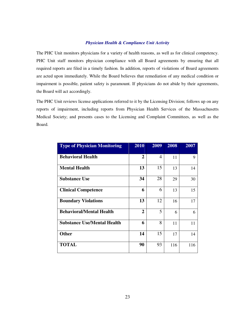#### *Physician Health & Compliance Unit Activity*

The PHC Unit monitors physicians for a variety of health reasons, as well as for clinical competency. PHC Unit staff monitors physician compliance with all Board agreements by ensuring that all required reports are filed in a timely fashion. In addition, reports of violations of Board agreements are acted upon immediately. While the Board believes that remediation of any medical condition or impairment is possible, patient safety is paramount. If physicians do not abide by their agreements, the Board will act accordingly.

The PHC Unit reviews license applications referred to it by the Licensing Division; follows up on any reports of impairment, including reports from Physician Health Services of the Massachusetts Medical Society; and presents cases to the Licensing and Complaint Committees, as well as the Board.

| <b>Type of Physician Monitoring</b> | 2010           | 2009           | 2008 | 2007 |
|-------------------------------------|----------------|----------------|------|------|
| <b>Behavioral Health</b>            | $\overline{2}$ | $\overline{4}$ | 11   | 9    |
| <b>Mental Health</b>                | 13             | 15             | 13   | 14   |
| <b>Substance Use</b>                | 34             | 28             | 29   | 30   |
| <b>Clinical Competence</b>          | 6              | 6              | 13   | 15   |
| <b>Boundary Violations</b>          | 13             | 12             | 16   | 17   |
| <b>Behavioral/Mental Health</b>     | $\overline{2}$ | 5              | 6    | 6    |
| <b>Substance Use/Mental Health</b>  | 6              | 8              | 11   | 11   |
| <b>Other</b>                        | 14             | 15             | 17   | 14   |
| <b>TOTAL</b>                        | 90             | 93             | 116  | 116  |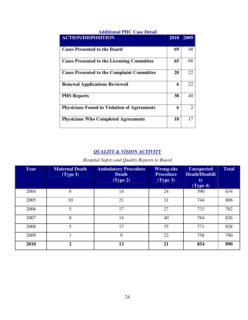| Auditional Ffit, Case Detail                       |      |                |
|----------------------------------------------------|------|----------------|
| <b>ACTION/DISPOSITION</b>                          | 2010 | 2009           |
| <b>Cases Presented to the Board</b>                | 69   | 48             |
| <b>Cases Presented to the Licensing Committee</b>  | 65   | 68             |
| <b>Cases Presented to the Complaint Committee</b>  | 20   | 22             |
| <b>Renewal Applications Reviewed</b>               | 6    | 22             |
| <b>PHS Reports</b>                                 | 38   | 40             |
| <b>Physicians Found in Violation of Agreements</b> | 6    | $\overline{2}$ |
| <b>Physicians Who Completed Agreements</b>         | 18   | 17             |

# **Additional PHC Case Detail**

# *QUALITY & VISION ACTIVITY*

*Hospital Safety and Quality Reports to Board* 

| <b>Year</b> | Maternal Death<br>(Type I) | <b>Ambulatory Procedure</b><br><b>Death</b><br>(Type 2) | <b>Wrong-site</b><br><b>Procedure</b><br>(Type 3) | <b>Unexpected</b><br><b>Death/Disabili</b><br>ty<br>(Type 4) | <b>Total</b> |
|-------------|----------------------------|---------------------------------------------------------|---------------------------------------------------|--------------------------------------------------------------|--------------|
| 2004        | 6                          | 14                                                      | 24                                                | 590                                                          | 634          |
| 2005        | 10                         | 21                                                      | 31                                                | 744                                                          | 806          |
| 2006        | 5                          | 17                                                      | 27                                                | 733                                                          | 782          |
| 2007        | 8                          | 14                                                      | 40                                                | 764                                                          | 826          |
| 2008        | 5                          | 17                                                      | 35                                                | 771                                                          | 828          |
| 2009        |                            | 9                                                       | 22                                                | 758                                                          | 790          |
| 2010        | $\overline{2}$             | 13                                                      | 21                                                | 854                                                          | 890          |